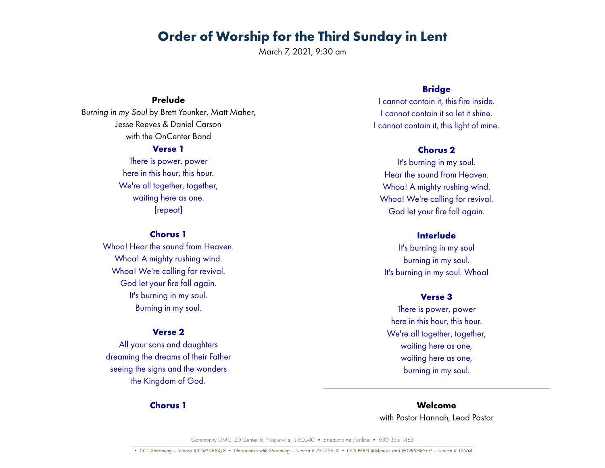March 7, 2021, 9:30 am

## **Prelude**

*Burning in my Soul* by Brett Younker, Matt Maher, Jesse Reeves & Daniel Carson with the OnCenter Band

#### **Verse 1**

There is power, power here in this hour, this hour. We're all together, together, waiting here as one. [repeat]

## **Chorus 1**

Whoa! Hear the sound from Heaven. Whoa! A mighty rushing wind. Whoa! We're calling for revival. God let your fire fall again. It's burning in my soul. Burning in my soul.

## **Verse 2**

All your sons and daughters dreaming the dreams of their Father seeing the signs and the wonders the Kingdom of God.

## **Chorus 1**

## **Bridge**

I cannot contain it, this fire inside. I cannot contain it so let it shine. I cannot contain it, this light of mine.

## **Chorus 2**

It's burning in my soul. Hear the sound from Heaven. Whoa! A mighty rushing wind. Whoa! We're calling for revival. God let your fire fall again.

## **Interlude**

It's burning in my soul burning in my soul. It's burning in my soul. Whoa!

#### **Verse 3**

There is power, power here in this hour, this hour. We're all together, together, waiting here as one, waiting here as one, burning in my soul.

**Welcome** with Pastor Hannah, Lead Pastor

Community UMC, 20 Center St, Naperville, IL 60540 • onecumc.net/online • 630 355 1483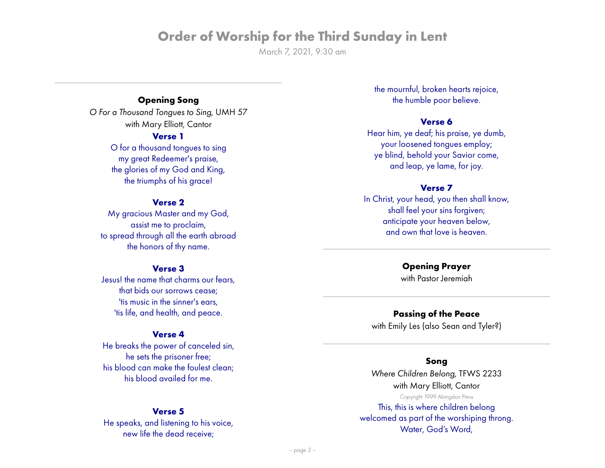March 7, 2021, 9:30 am

## **Opening Song**

*O For a Thousand Tongues to Sing*, UMH 57 with Mary Elliott, Cantor

## **Verse 1**

O for a thousand tongues to sing my great Redeemer's praise, the glories of my God and King, the triumphs of his grace!

## **Verse 2**

My gracious Master and my God, assist me to proclaim, to spread through all the earth abroad the honors of thy name.

### **Verse 3**

Jesus! the name that charms our fears, that bids our sorrows cease; 'tis music in the sinner's ears, 'tis life, and health, and peace.

## **Verse 4**

He breaks the power of canceled sin, he sets the prisoner free; his blood can make the foulest clean; his blood availed for me.

### **Verse 5**

He speaks, and listening to his voice, new life the dead receive;

the mournful, broken hearts rejoice, the humble poor believe.

## **Verse 6**

Hear him, ye deaf; his praise, ye dumb, your loosened tongues employ; ye blind, behold your Savior come, and leap, ye lame, for joy.

## **Verse 7**

In Christ, your head, you then shall know, shall feel your sins forgiven; anticipate your heaven below, and own that love is heaven.

## **Opening Prayer**

with Pastor Jeremiah

## **Passing of the Peace**

with Emily Les (also Sean and Tyler?)

#### **Song**

*Where Children Belong*, TFWS 2233 with Mary Elliott, Cantor Copyright 1999 Abingdon Press

This, this is where children belong welcomed as part of the worshiping throng. Water, God's Word,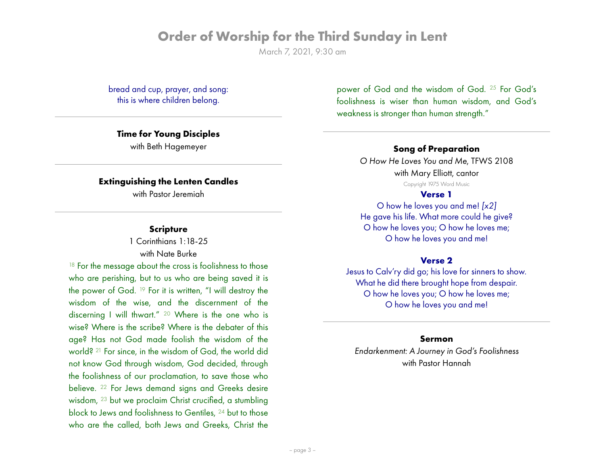March 7, 2021, 9:30 am

bread and cup, prayer, and song: this is where children belong.

### **Time for Young Disciples**

with Beth Hagemeyer

### **Extinguishing the Lenten Candles**

with Pastor Jeremiah

#### **Scripture**

1 Corinthians 1:18-25 with Nate Burke

<sup>18</sup> For the message about the cross is foolishness to those who are perishing, but to us who are being saved it is the power of God. 19 For it is written, "I will destroy the wisdom of the wise, and the discernment of the discerning I will thwart." 20 Where is the one who is wise? Where is the scribe? Where is the debater of this age? Has not God made foolish the wisdom of the world? 21 For since, in the wisdom of God, the world did not know God through wisdom, God decided, through the foolishness of our proclamation, to save those who believe. 22 For Jews demand signs and Greeks desire wisdom, 23 but we proclaim Christ crucified, a stumbling block to Jews and foolishness to Gentiles, 24 but to those who are the called, both Jews and Greeks, Christ the power of God and the wisdom of God. 25 For God's foolishness is wiser than human wisdom, and God's weakness is stronger than human strength."

## **Song of Preparation**

*O How He Loves You and Me*, TFWS 2108 with Mary Elliott, cantor Copyright 1975 Word Music

#### **Verse 1**

O how he loves you and me! *[x2]* He gave his life. What more could he give? O how he loves you; O how he loves me; O how he loves you and me!

#### **Verse 2**

Jesus to Calv'ry did go; his love for sinners to show. What he did there brought hope from despair. O how he loves you; O how he loves me; O how he loves you and me!

### **Sermon**

*Endarkenment: A Journey in God's Foolishness* with Pastor Hannah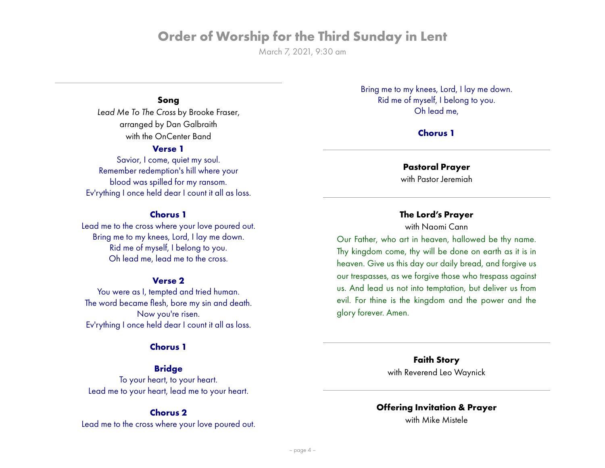March 7, 2021, 9:30 am

## **Song**

*Lead Me To The Cross* by Brooke Fraser, arranged by Dan Galbraith with the OnCenter Band

## **Verse 1**

Savior, I come, quiet my soul. Remember redemption's hill where your blood was spilled for my ransom. Ev'rything I once held dear I count it all as loss.

#### **Chorus 1**

Lead me to the cross where your love poured out. Bring me to my knees, Lord, I lay me down. Rid me of myself, I belong to you. Oh lead me, lead me to the cross.

#### **Verse 2**

You were as I, tempted and tried human. The word became flesh, bore my sin and death. Now you're risen. Ev'rything I once held dear I count it all as loss.

#### **Chorus 1**

## **Bridge**

To your heart, to your heart. Lead me to your heart, lead me to your heart.

### **Chorus 2**

Lead me to the cross where your love poured out.

Bring me to my knees, Lord, I lay me down. Rid me of myself, I belong to you. Oh lead me,

### **Chorus 1**

## **Pastoral Prayer**

with Pastor Jeremiah

### **The Lord's Prayer**

with Naomi Cann

Our Father, who art in heaven, hallowed be thy name. Thy kingdom come, thy will be done on earth as it is in heaven. Give us this day our daily bread, and forgive us our trespasses, as we forgive those who trespass against us. And lead us not into temptation, but deliver us from evil. For thine is the kingdom and the power and the glory forever. Amen.

> **Faith Story** with Reverend Leo Waynick

## **Offering Invitation & Prayer**

with Mike Mistele